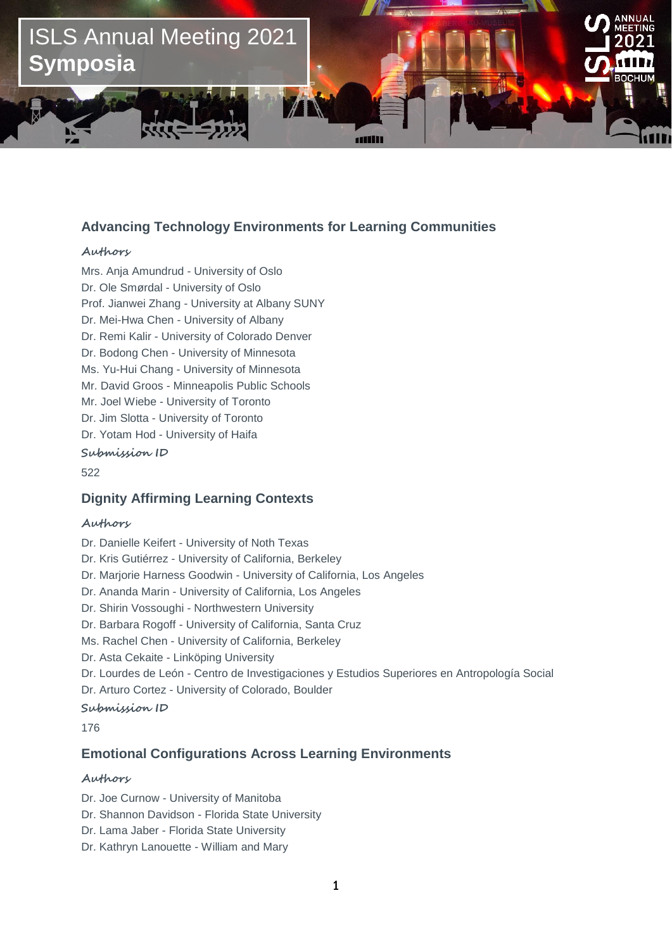

## **Advancing Technology Environments for Learning Communities**

### **Authors**

Dr. Mei-Hwa Chen - University of Albany **CSCL Short papers** Dr. Bodong Chen - University of Minnesota Mrs. Anja Amundrud - University of Oslo Dr. Ole Smørdal - University of Oslo Prof. Jianwei Zhang - University at Albany SUNY Dr. Remi Kalir - University of Colorado Denver Ms. Yu-Hui Chang - University of Minnesota Mr. David Groos - Minneapolis Public Schools Mr. Joel Wiebe - University of Toronto Dr. Jim Slotta - University of Toronto Dr. Yotam Hod - University of Haifa

**Submission ID**

522

## **Dignity Affirming Learning Contexts**

### **Authors**

Dr. Danielle Keifert - University of Noth Texas Dr. Kris Gutiérrez - University of California, Berkeley Dr. Marjorie Harness Goodwin - University of California, Los Angeles Dr. Ananda Marin - University of California, Los Angeles Dr. Shirin Vossoughi - Northwestern University Dr. Barbara Rogoff - University of California, Santa Cruz Ms. Rachel Chen - University of California, Berkeley Dr. Asta Cekaite - Linköping University Dr. Lourdes de León - Centro de Investigaciones y Estudios Superiores en Antropología Social Dr. Arturo Cortez - University of Colorado, Boulder **Submission ID** 176

## **Emotional Configurations Across Learning Environments**

### **Authors**

Dr. Joe Curnow - University of Manitoba

Dr. Shannon Davidson - Florida State University

- Dr. Lama Jaber Florida State University
- Dr. Kathryn Lanouette William and Mary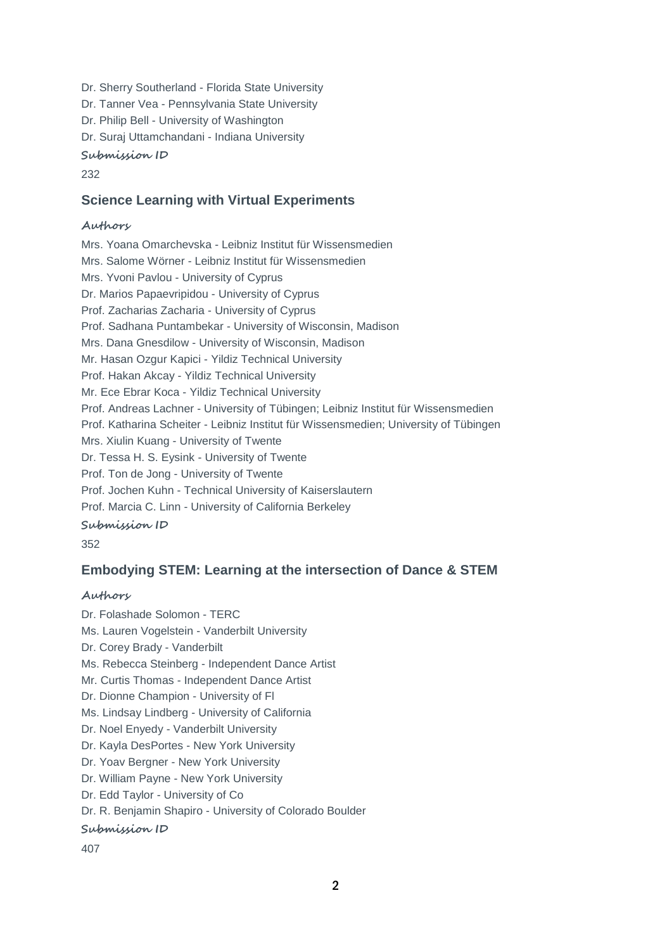Dr. Sherry Southerland - Florida State University Dr. Tanner Vea - Pennsylvania State University Dr. Philip Bell - University of Washington Dr. Suraj Uttamchandani - Indiana University **Submission ID**

232

## **Science Learning with Virtual Experiments**

### **Authors**

Mrs. Yoana Omarchevska - Leibniz Institut für Wissensmedien Mrs. Salome Wörner - Leibniz Institut für Wissensmedien Mrs. Yvoni Pavlou - University of Cyprus Dr. Marios Papaevripidou - University of Cyprus Prof. Zacharias Zacharia - University of Cyprus Prof. Sadhana Puntambekar - University of Wisconsin, Madison Mrs. Dana Gnesdilow - University of Wisconsin, Madison Mr. Hasan Ozgur Kapici - Yildiz Technical University Prof. Hakan Akcay - Yildiz Technical University Mr. Ece Ebrar Koca - Yildiz Technical University Prof. Andreas Lachner - University of Tübingen; Leibniz Institut für Wissensmedien Prof. Katharina Scheiter - Leibniz Institut für Wissensmedien; University of Tübingen Mrs. Xiulin Kuang - University of Twente Dr. Tessa H. S. Eysink - University of Twente Prof. Ton de Jong - University of Twente Prof. Jochen Kuhn - Technical University of Kaiserslautern Prof. Marcia C. Linn - University of California Berkeley **Submission ID** 352

## **Embodying STEM: Learning at the intersection of Dance & STEM**

### **Authors**

Dr. Folashade Solomon - TERC Ms. Lauren Vogelstein - Vanderbilt University Dr. Corey Brady - Vanderbilt Ms. Rebecca Steinberg - Independent Dance Artist Mr. Curtis Thomas - Independent Dance Artist Dr. Dionne Champion - University of Fl Ms. Lindsay Lindberg - University of California Dr. Noel Enyedy - Vanderbilt University Dr. Kayla DesPortes - New York University Dr. Yoav Bergner - New York University Dr. William Payne - New York University Dr. Edd Taylor - University of Co Dr. R. Benjamin Shapiro - University of Colorado Boulder **Submission ID** 407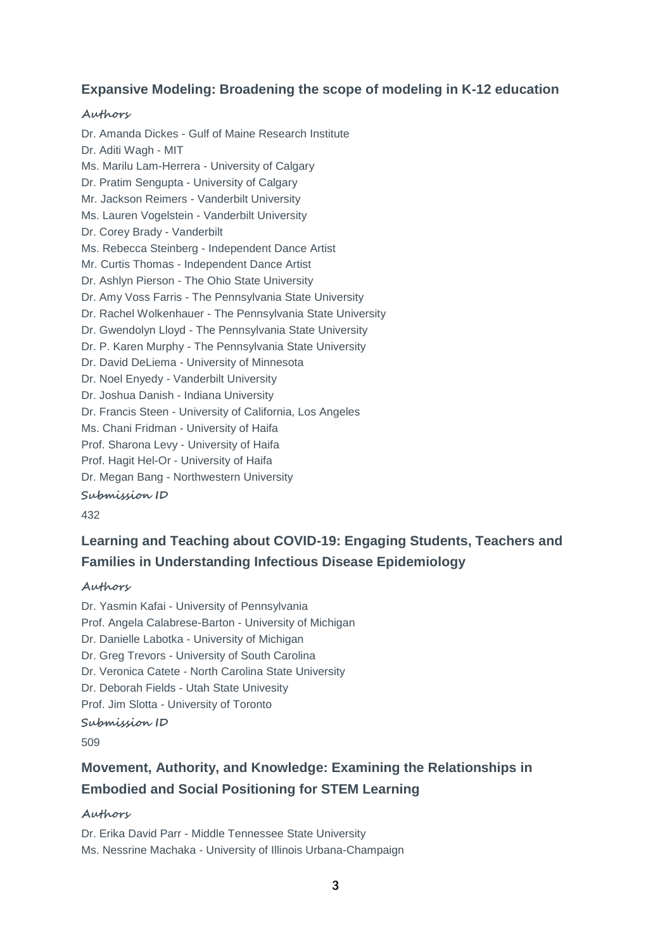# **Expansive Modeling: Broadening the scope of modeling in K-12 education**

### **Authors**

Dr. Amanda Dickes - Gulf of Maine Research Institute Dr. Aditi Wagh - MIT Ms. Marilu Lam-Herrera - University of Calgary Dr. Pratim Sengupta - University of Calgary Mr. Jackson Reimers - Vanderbilt University Ms. Lauren Vogelstein - Vanderbilt University Dr. Corey Brady - Vanderbilt Ms. Rebecca Steinberg - Independent Dance Artist Mr. Curtis Thomas - Independent Dance Artist Dr. Ashlyn Pierson - The Ohio State University Dr. Amy Voss Farris - The Pennsylvania State University Dr. Rachel Wolkenhauer - The Pennsylvania State University Dr. Gwendolyn Lloyd - The Pennsylvania State University Dr. P. Karen Murphy - The Pennsylvania State University Dr. David DeLiema - University of Minnesota Dr. Noel Enyedy - Vanderbilt University Dr. Joshua Danish - Indiana University Dr. Francis Steen - University of California, Los Angeles Ms. Chani Fridman - University of Haifa Prof. Sharona Levy - University of Haifa Prof. Hagit Hel-Or - University of Haifa Dr. Megan Bang - Northwestern University **Submission ID**

432

# **Learning and Teaching about COVID-19: Engaging Students, Teachers and Families in Understanding Infectious Disease Epidemiology**

### **Authors**

Dr. Yasmin Kafai - University of Pennsylvania Prof. Angela Calabrese-Barton - University of Michigan Dr. Danielle Labotka - University of Michigan Dr. Greg Trevors - University of South Carolina Dr. Veronica Catete - North Carolina State University Dr. Deborah Fields - Utah State Univesity Prof. Jim Slotta - University of Toronto **Submission ID**

509

# **Movement, Authority, and Knowledge: Examining the Relationships in Embodied and Social Positioning for STEM Learning**

### **Authors**

Dr. Erika David Parr - Middle Tennessee State University Ms. Nessrine Machaka - University of Illinois Urbana-Champaign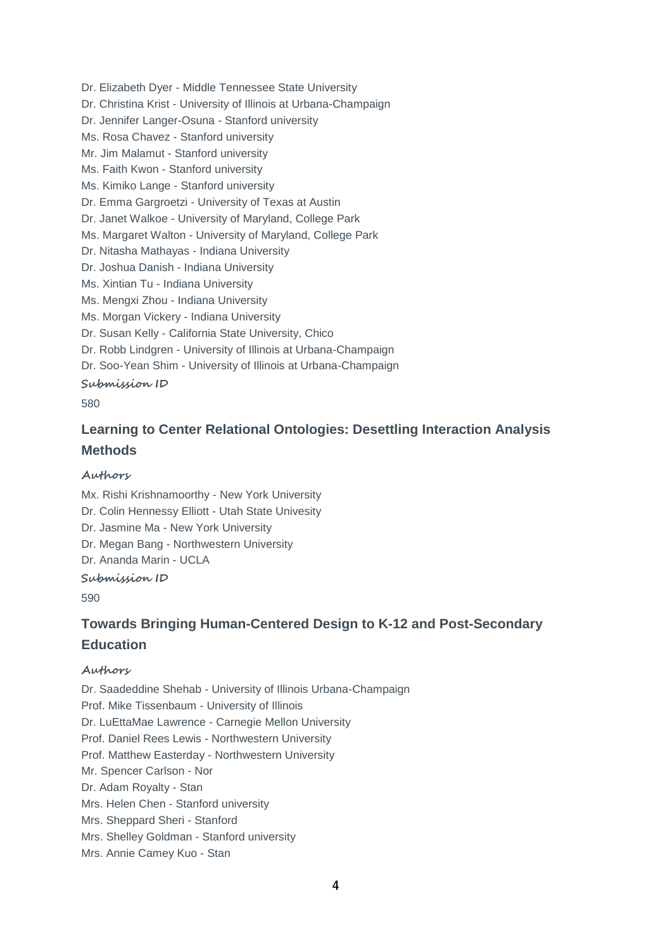Dr. Elizabeth Dyer - Middle Tennessee State University Dr. Christina Krist - University of Illinois at Urbana-Champaign Dr. Jennifer Langer-Osuna - Stanford university Ms. Rosa Chavez - Stanford university Mr. Jim Malamut - Stanford university Ms. Faith Kwon - Stanford university Ms. Kimiko Lange - Stanford university Dr. Emma Gargroetzi - University of Texas at Austin Dr. Janet Walkoe - University of Maryland, College Park Ms. Margaret Walton - University of Maryland, College Park Dr. Nitasha Mathayas - Indiana University Dr. Joshua Danish - Indiana University Ms. Xintian Tu - Indiana University Ms. Mengxi Zhou - Indiana University Ms. Morgan Vickery - Indiana University Dr. Susan Kelly - California State University, Chico Dr. Robb Lindgren - University of Illinois at Urbana-Champaign Dr. Soo-Yean Shim - University of Illinois at Urbana-Champaign **Submission ID**

580

# **Learning to Center Relational Ontologies: Desettling Interaction Analysis Methods**

### **Authors**

Mx. Rishi Krishnamoorthy - New York University Dr. Colin Hennessy Elliott - Utah State Univesity Dr. Jasmine Ma - New York University Dr. Megan Bang - Northwestern University Dr. Ananda Marin - UCLA

**Submission ID**

590

# **Towards Bringing Human-Centered Design to K-12 and Post-Secondary Education**

### **Authors**

Dr. Saadeddine Shehab - University of Illinois Urbana-Champaign Prof. Mike Tissenbaum - University of Illinois Dr. LuEttaMae Lawrence - Carnegie Mellon University Prof. Daniel Rees Lewis - Northwestern University Prof. Matthew Easterday - Northwestern University Mr. Spencer Carlson - Nor Dr. Adam Royalty - Stan Mrs. Helen Chen - Stanford university Mrs. Sheppard Sheri - Stanford Mrs. Shelley Goldman - Stanford university Mrs. Annie Camey Kuo - Stan